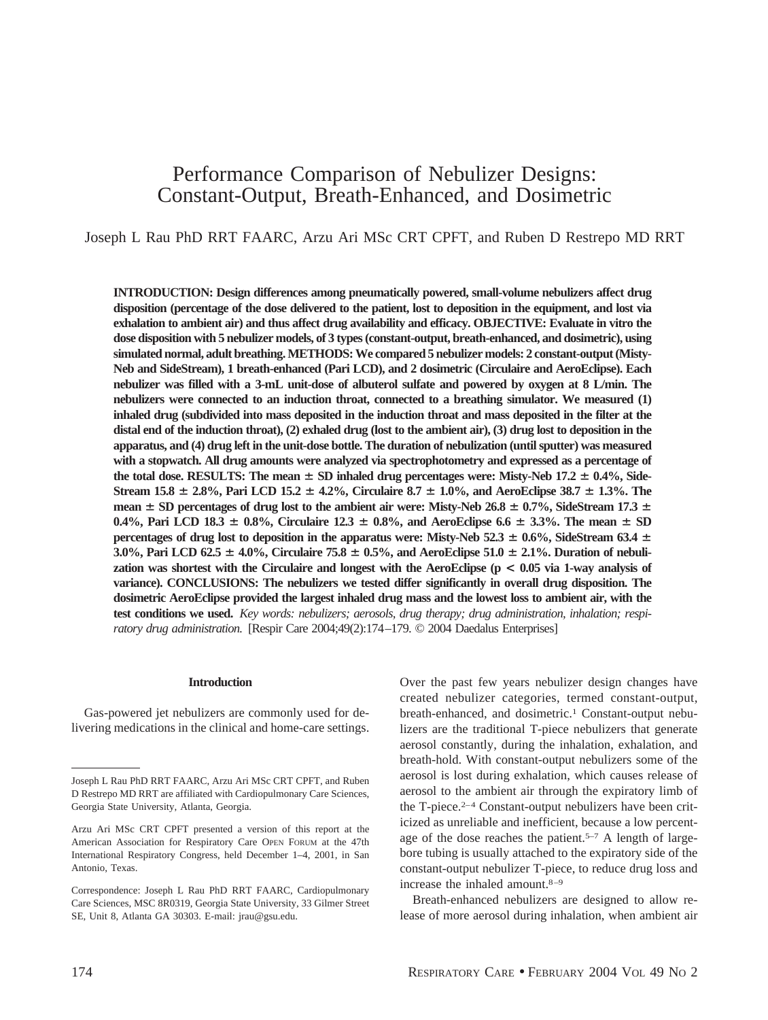# Performance Comparison of Nebulizer Designs: Constant-Output, Breath-Enhanced, and Dosimetric

# Joseph L Rau PhD RRT FAARC, Arzu Ari MSc CRT CPFT, and Ruben D Restrepo MD RRT

**INTRODUCTION: Design differences among pneumatically powered, small-volume nebulizers affect drug disposition (percentage of the dose delivered to the patient, lost to deposition in the equipment, and lost via exhalation to ambient air) and thus affect drug availability and efficacy. OBJECTIVE: Evaluate in vitro the dose disposition with 5 nebulizer models, of 3 types (constant-output, breath-enhanced, and dosimetric), using simulated normal, adult breathing. METHODS: We compared 5 nebulizer models: 2 constant-output (Misty-Neb and SideStream), 1 breath-enhanced (Pari LCD), and 2 dosimetric (Circulaire and AeroEclipse). Each nebulizer was filled with a 3-mL unit-dose of albuterol sulfate and powered by oxygen at 8 L/min. The nebulizers were connected to an induction throat, connected to a breathing simulator. We measured (1) inhaled drug (subdivided into mass deposited in the induction throat and mass deposited in the filter at the distal end of the induction throat), (2) exhaled drug (lost to the ambient air), (3) drug lost to deposition in the apparatus, and (4) drug left in the unit-dose bottle. The duration of nebulization (until sputter) was measured with a stopwatch. All drug amounts were analyzed via spectrophotometry and expressed as a percentage of** the total dose. RESULTS: The mean  $\pm$  SD inhaled drug percentages were: Misty-Neb 17.2  $\pm$  0.4%, Side-**Stream 15.8 2.8%, Pari LCD 15.2 4.2%, Circulaire 8.7 1.0%, and AeroEclipse 38.7 1.3%. The** mean  $\pm$  SD percentages of drug lost to the ambient air were: Misty-Neb 26.8  $\pm$  0.7%, SideStream 17.3  $\pm$ **0.4%, Pari LCD 18.3**  $\pm$  **0.8%, Circulaire 12.3**  $\pm$  **0.8%, and AeroEclipse 6.6**  $\pm$  3.3%. The mean  $\pm$  SD **percentages of drug lost to deposition in the apparatus were: Misty-Neb 52.3**  $\pm$  **0.6%, SideStream 63.4**  $\pm$ **3.0%, Pari LCD 62.5 4.0%, Circulaire 75.8 0.5%, and AeroEclipse 51.0 2.1%. Duration of nebulization was shortest with the Circulaire and longest with the AeroEclipse (p < 0.05 via 1-way analysis of variance). CONCLUSIONS: The nebulizers we tested differ significantly in overall drug disposition. The dosimetric AeroEclipse provided the largest inhaled drug mass and the lowest loss to ambient air, with the test conditions we used.** *Key words: nebulizers; aerosols, drug therapy; drug administration, inhalation; respiratory drug administration.* [Respir Care 2004;49(2):174–179. © 2004 Daedalus Enterprises]

#### **Introduction**

Gas-powered jet nebulizers are commonly used for delivering medications in the clinical and home-care settings.

Over the past few years nebulizer design changes have created nebulizer categories, termed constant-output, breath-enhanced, and dosimetric.<sup>1</sup> Constant-output nebulizers are the traditional T-piece nebulizers that generate aerosol constantly, during the inhalation, exhalation, and breath-hold. With constant-output nebulizers some of the aerosol is lost during exhalation, which causes release of aerosol to the ambient air through the expiratory limb of the T-piece.<sup>2–4</sup> Constant-output nebulizers have been criticized as unreliable and inefficient, because a low percentage of the dose reaches the patient.<sup>5–7</sup> A length of largebore tubing is usually attached to the expiratory side of the constant-output nebulizer T-piece, to reduce drug loss and increase the inhaled amount.8–9

Breath-enhanced nebulizers are designed to allow release of more aerosol during inhalation, when ambient air

Joseph L Rau PhD RRT FAARC, Arzu Ari MSc CRT CPFT, and Ruben D Restrepo MD RRT are affiliated with Cardiopulmonary Care Sciences, Georgia State University, Atlanta, Georgia.

Arzu Ari MSc CRT CPFT presented a version of this report at the American Association for Respiratory Care OPEN FORUM at the 47th International Respiratory Congress, held December 1–4, 2001, in San Antonio, Texas.

Correspondence: Joseph L Rau PhD RRT FAARC, Cardiopulmonary Care Sciences, MSC 8R0319, Georgia State University, 33 Gilmer Street SE, Unit 8, Atlanta GA 30303. E-mail: jrau@gsu.edu.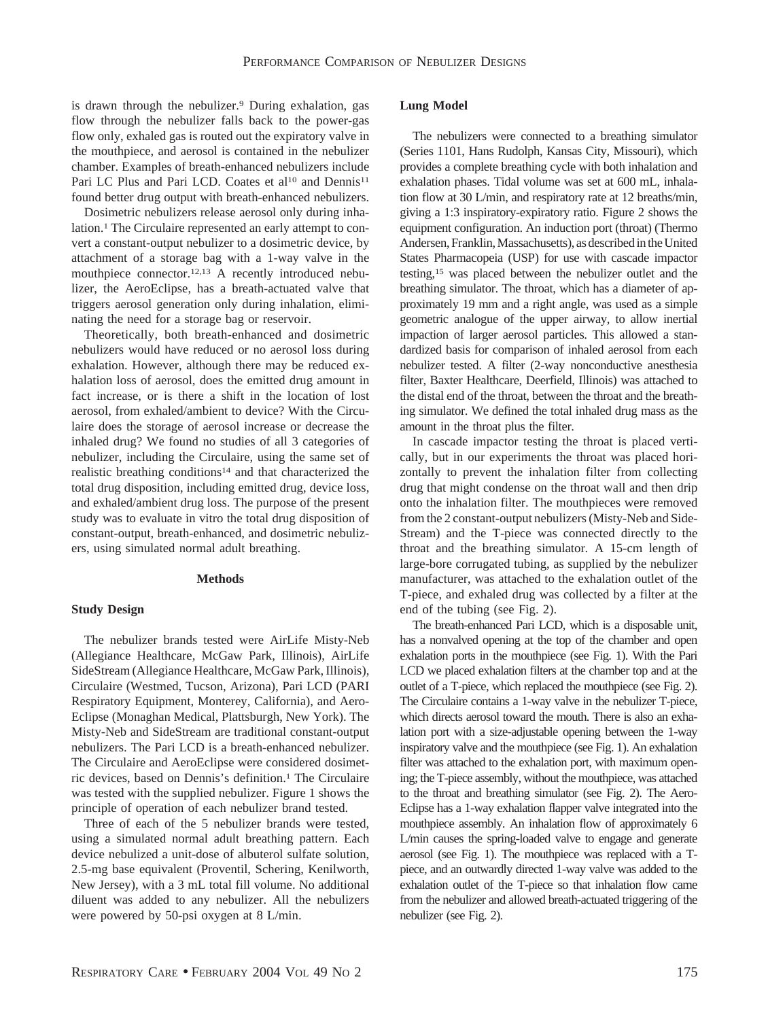is drawn through the nebulizer.9 During exhalation, gas flow through the nebulizer falls back to the power-gas flow only, exhaled gas is routed out the expiratory valve in the mouthpiece, and aerosol is contained in the nebulizer chamber. Examples of breath-enhanced nebulizers include Pari LC Plus and Pari LCD. Coates et al<sup>10</sup> and Dennis<sup>11</sup> found better drug output with breath-enhanced nebulizers.

Dosimetric nebulizers release aerosol only during inhalation.<sup>1</sup> The Circulaire represented an early attempt to convert a constant-output nebulizer to a dosimetric device, by attachment of a storage bag with a 1-way valve in the mouthpiece connector.12,13 A recently introduced nebulizer, the AeroEclipse, has a breath-actuated valve that triggers aerosol generation only during inhalation, eliminating the need for a storage bag or reservoir.

Theoretically, both breath-enhanced and dosimetric nebulizers would have reduced or no aerosol loss during exhalation. However, although there may be reduced exhalation loss of aerosol, does the emitted drug amount in fact increase, or is there a shift in the location of lost aerosol, from exhaled/ambient to device? With the Circulaire does the storage of aerosol increase or decrease the inhaled drug? We found no studies of all 3 categories of nebulizer, including the Circulaire, using the same set of realistic breathing conditions14 and that characterized the total drug disposition, including emitted drug, device loss, and exhaled/ambient drug loss. The purpose of the present study was to evaluate in vitro the total drug disposition of constant-output, breath-enhanced, and dosimetric nebulizers, using simulated normal adult breathing.

# **Methods**

## **Study Design**

The nebulizer brands tested were AirLife Misty-Neb (Allegiance Healthcare, McGaw Park, Illinois), AirLife SideStream (Allegiance Healthcare, McGaw Park, Illinois), Circulaire (Westmed, Tucson, Arizona), Pari LCD (PARI Respiratory Equipment, Monterey, California), and Aero-Eclipse (Monaghan Medical, Plattsburgh, New York). The Misty-Neb and SideStream are traditional constant-output nebulizers. The Pari LCD is a breath-enhanced nebulizer. The Circulaire and AeroEclipse were considered dosimetric devices, based on Dennis's definition.1 The Circulaire was tested with the supplied nebulizer. Figure 1 shows the principle of operation of each nebulizer brand tested.

Three of each of the 5 nebulizer brands were tested, using a simulated normal adult breathing pattern. Each device nebulized a unit-dose of albuterol sulfate solution, 2.5-mg base equivalent (Proventil, Schering, Kenilworth, New Jersey), with a 3 mL total fill volume. No additional diluent was added to any nebulizer. All the nebulizers were powered by 50-psi oxygen at 8 L/min.

# **Lung Model**

The nebulizers were connected to a breathing simulator (Series 1101, Hans Rudolph, Kansas City, Missouri), which provides a complete breathing cycle with both inhalation and exhalation phases. Tidal volume was set at 600 mL, inhalation flow at 30 L/min, and respiratory rate at 12 breaths/min, giving a 1:3 inspiratory-expiratory ratio. Figure 2 shows the equipment configuration. An induction port (throat) (Thermo Andersen, Franklin, Massachusetts), as described in the United States Pharmacopeia (USP) for use with cascade impactor testing,15 was placed between the nebulizer outlet and the breathing simulator. The throat, which has a diameter of approximately 19 mm and a right angle, was used as a simple geometric analogue of the upper airway, to allow inertial impaction of larger aerosol particles. This allowed a standardized basis for comparison of inhaled aerosol from each nebulizer tested. A filter (2-way nonconductive anesthesia filter, Baxter Healthcare, Deerfield, Illinois) was attached to the distal end of the throat, between the throat and the breathing simulator. We defined the total inhaled drug mass as the amount in the throat plus the filter.

In cascade impactor testing the throat is placed vertically, but in our experiments the throat was placed horizontally to prevent the inhalation filter from collecting drug that might condense on the throat wall and then drip onto the inhalation filter. The mouthpieces were removed from the 2 constant-output nebulizers (Misty-Neb and Side-Stream) and the T-piece was connected directly to the throat and the breathing simulator. A 15-cm length of large-bore corrugated tubing, as supplied by the nebulizer manufacturer, was attached to the exhalation outlet of the T-piece, and exhaled drug was collected by a filter at the end of the tubing (see Fig. 2).

The breath-enhanced Pari LCD, which is a disposable unit, has a nonvalved opening at the top of the chamber and open exhalation ports in the mouthpiece (see Fig. 1). With the Pari LCD we placed exhalation filters at the chamber top and at the outlet of a T-piece, which replaced the mouthpiece (see Fig. 2). The Circulaire contains a 1-way valve in the nebulizer T-piece, which directs aerosol toward the mouth. There is also an exhalation port with a size-adjustable opening between the 1-way inspiratory valve and the mouthpiece (see Fig. 1). An exhalation filter was attached to the exhalation port, with maximum opening; the T-piece assembly, without the mouthpiece, was attached to the throat and breathing simulator (see Fig. 2). The Aero-Eclipse has a 1-way exhalation flapper valve integrated into the mouthpiece assembly. An inhalation flow of approximately 6 L/min causes the spring-loaded valve to engage and generate aerosol (see Fig. 1). The mouthpiece was replaced with a Tpiece, and an outwardly directed 1-way valve was added to the exhalation outlet of the T-piece so that inhalation flow came from the nebulizer and allowed breath-actuated triggering of the nebulizer (see Fig. 2).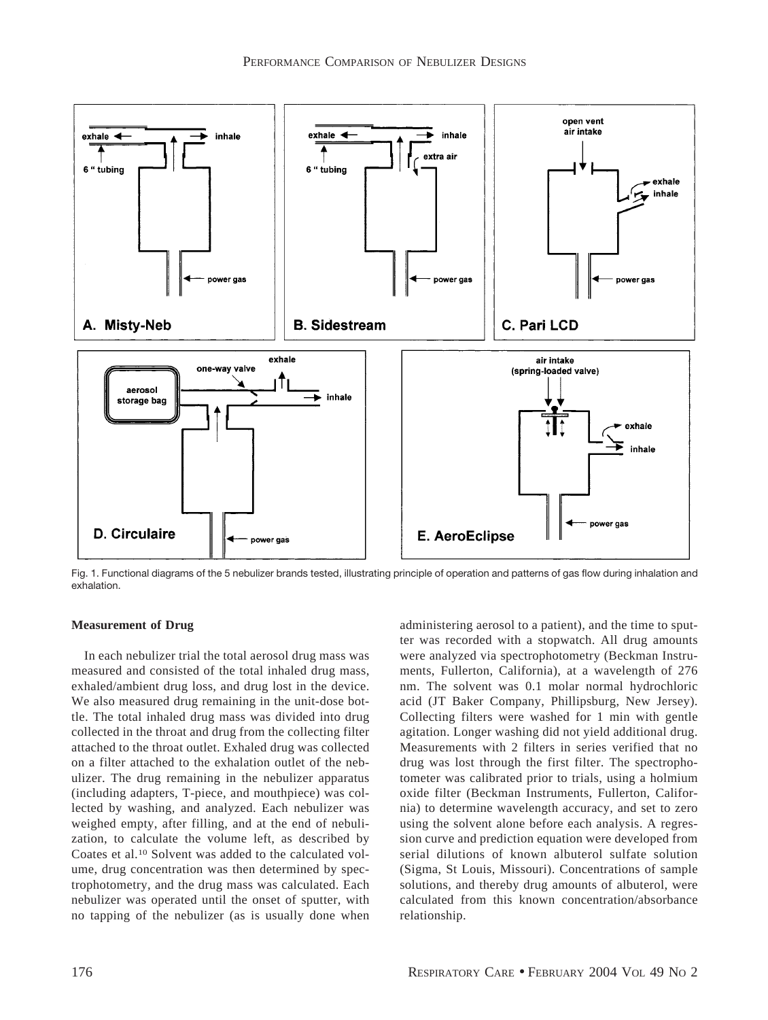

Fig. 1. Functional diagrams of the 5 nebulizer brands tested, illustrating principle of operation and patterns of gas flow during inhalation and exhalation.

# **Measurement of Drug**

In each nebulizer trial the total aerosol drug mass was measured and consisted of the total inhaled drug mass, exhaled/ambient drug loss, and drug lost in the device. We also measured drug remaining in the unit-dose bottle. The total inhaled drug mass was divided into drug collected in the throat and drug from the collecting filter attached to the throat outlet. Exhaled drug was collected on a filter attached to the exhalation outlet of the nebulizer. The drug remaining in the nebulizer apparatus (including adapters, T-piece, and mouthpiece) was collected by washing, and analyzed. Each nebulizer was weighed empty, after filling, and at the end of nebulization, to calculate the volume left, as described by Coates et al.10 Solvent was added to the calculated volume, drug concentration was then determined by spectrophotometry, and the drug mass was calculated. Each nebulizer was operated until the onset of sputter, with no tapping of the nebulizer (as is usually done when administering aerosol to a patient), and the time to sputter was recorded with a stopwatch. All drug amounts were analyzed via spectrophotometry (Beckman Instruments, Fullerton, California), at a wavelength of 276 nm. The solvent was 0.1 molar normal hydrochloric acid (JT Baker Company, Phillipsburg, New Jersey). Collecting filters were washed for 1 min with gentle agitation. Longer washing did not yield additional drug. Measurements with 2 filters in series verified that no drug was lost through the first filter. The spectrophotometer was calibrated prior to trials, using a holmium oxide filter (Beckman Instruments, Fullerton, California) to determine wavelength accuracy, and set to zero using the solvent alone before each analysis. A regression curve and prediction equation were developed from serial dilutions of known albuterol sulfate solution (Sigma, St Louis, Missouri). Concentrations of sample solutions, and thereby drug amounts of albuterol, were calculated from this known concentration/absorbance relationship.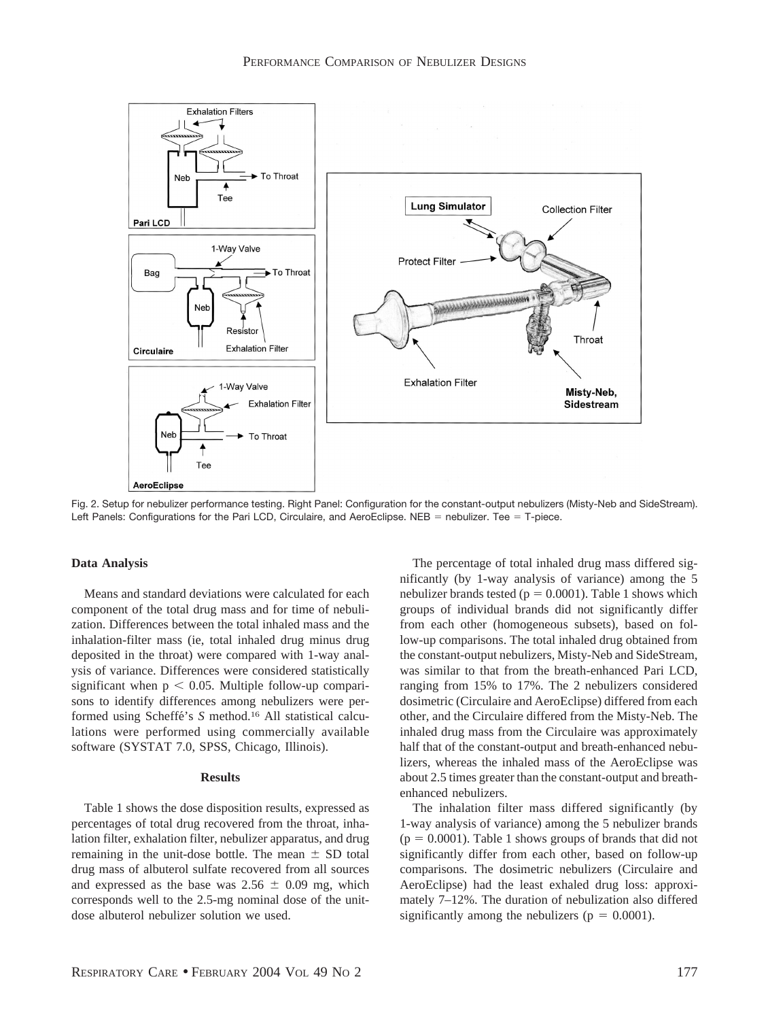

Fig. 2. Setup for nebulizer performance testing. Right Panel: Configuration for the constant-output nebulizers (Misty-Neb and SideStream). Left Panels: Configurations for the Pari LCD, Circulaire, and AeroEclipse. NEB = nebulizer. Tee  $=$  T-piece.

#### **Data Analysis**

Means and standard deviations were calculated for each component of the total drug mass and for time of nebulization. Differences between the total inhaled mass and the inhalation-filter mass (ie, total inhaled drug minus drug deposited in the throat) were compared with 1-way analysis of variance. Differences were considered statistically significant when  $p < 0.05$ . Multiple follow-up comparisons to identify differences among nebulizers were performed using Scheffe´'s *S* method.16 All statistical calculations were performed using commercially available software (SYSTAT 7.0, SPSS, Chicago, Illinois).

### **Results**

Table 1 shows the dose disposition results, expressed as percentages of total drug recovered from the throat, inhalation filter, exhalation filter, nebulizer apparatus, and drug remaining in the unit-dose bottle. The mean  $\pm$  SD total drug mass of albuterol sulfate recovered from all sources and expressed as the base was  $2.56 \pm 0.09$  mg, which corresponds well to the 2.5-mg nominal dose of the unitdose albuterol nebulizer solution we used.

The percentage of total inhaled drug mass differed significantly (by 1-way analysis of variance) among the 5 nebulizer brands tested ( $p = 0.0001$ ). Table 1 shows which groups of individual brands did not significantly differ from each other (homogeneous subsets), based on follow-up comparisons. The total inhaled drug obtained from the constant-output nebulizers, Misty-Neb and SideStream, was similar to that from the breath-enhanced Pari LCD, ranging from 15% to 17%. The 2 nebulizers considered dosimetric (Circulaire and AeroEclipse) differed from each other, and the Circulaire differed from the Misty-Neb. The inhaled drug mass from the Circulaire was approximately half that of the constant-output and breath-enhanced nebulizers, whereas the inhaled mass of the AeroEclipse was about 2.5 times greater than the constant-output and breathenhanced nebulizers.

The inhalation filter mass differed significantly (by 1-way analysis of variance) among the 5 nebulizer brands  $(p = 0.0001)$ . Table 1 shows groups of brands that did not significantly differ from each other, based on follow-up comparisons. The dosimetric nebulizers (Circulaire and AeroEclipse) had the least exhaled drug loss: approximately 7–12%. The duration of nebulization also differed significantly among the nebulizers ( $p = 0.0001$ ).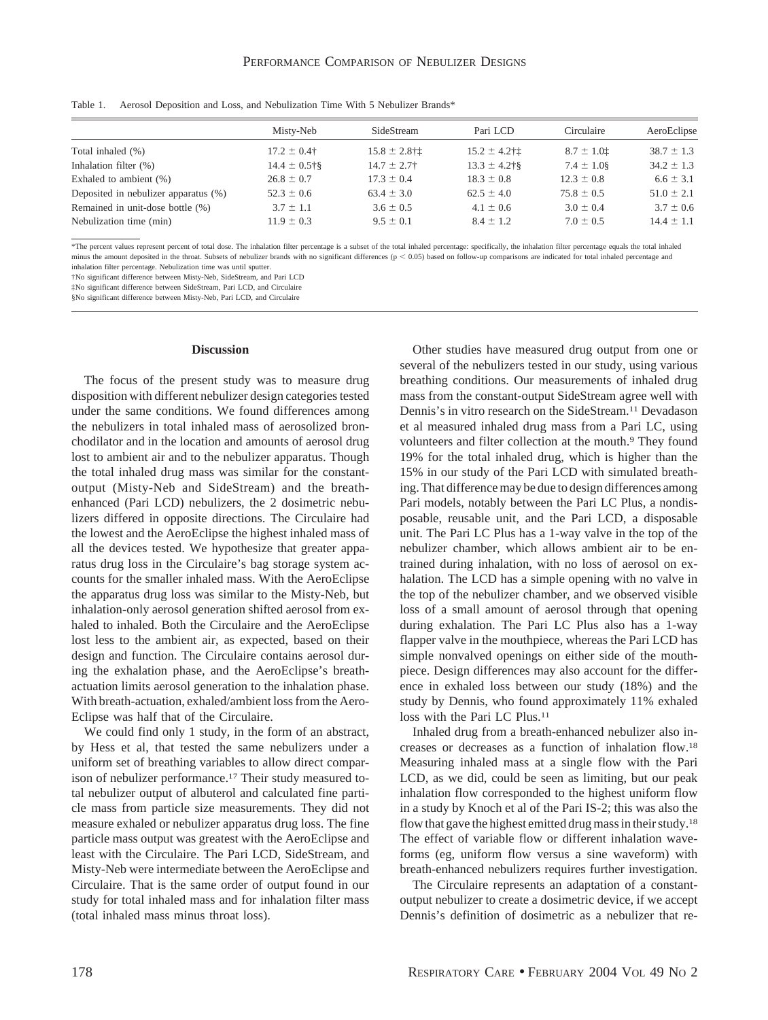|                                      | Misty-Neb         | SideStream                  | Pari LCD                    | Circulaire     | AeroEclipse    |
|--------------------------------------|-------------------|-----------------------------|-----------------------------|----------------|----------------|
| Total inhaled (%)                    | $17.2 \pm 0.4$ †  | $15.8 \pm 2.8$ † $\ddagger$ | $15.2 \pm 4.2$ † $\ddagger$ | $8.7 \pm 1.01$ | $38.7 \pm 1.3$ |
| Inhalation filter (%)                | $14.4 \pm 0.5$ †§ | $14.7 \pm 2.7$              | $13.3 \pm 4.2$ †§           | $7.4 \pm 1.08$ | $34.2 \pm 1.3$ |
| Exhaled to ambient $(\%)$            | $26.8 \pm 0.7$    | $17.3 \pm 0.4$              | $18.3 \pm 0.8$              | $12.3 \pm 0.8$ | $6.6 \pm 3.1$  |
| Deposited in nebulizer apparatus (%) | $52.3 \pm 0.6$    | $63.4 \pm 3.0$              | $62.5 \pm 4.0$              | $75.8 \pm 0.5$ | $51.0 \pm 2.1$ |
| Remained in unit-dose bottle (%)     | $3.7 \pm 1.1$     | $3.6 \pm 0.5$               | $4.1 \pm 0.6$               | $3.0 \pm 0.4$  | $3.7 \pm 0.6$  |
| Nebulization time (min)              | $11.9 \pm 0.3$    | $9.5 \pm 0.1$               | $8.4 \pm 1.2$               | $7.0 \pm 0.5$  | $14.4 \pm 1.1$ |

Table 1. Aerosol Deposition and Loss, and Nebulization Time With 5 Nebulizer Brands\*

\*The percent values represent percent of total dose. The inhalation filter percentage is a subset of the total inhaled percentage: specifically, the inhalation filter percentage equals the total inhaled minus the amount deposited in the throat. Subsets of nebulizer brands with no significant differences (p < 0.05) based on follow-up comparisons are indicated for total inhaled percentage and inhalation filter percentage. Nebulization time was until sputter.

†No significant difference between Misty-Neb, SideStream, and Pari LCD

‡No significant difference between SideStream, Pari LCD, and Circulaire

§No significant difference between Misty-Neb, Pari LCD, and Circulaire

#### **Discussion**

The focus of the present study was to measure drug disposition with different nebulizer design categories tested under the same conditions. We found differences among the nebulizers in total inhaled mass of aerosolized bronchodilator and in the location and amounts of aerosol drug lost to ambient air and to the nebulizer apparatus. Though the total inhaled drug mass was similar for the constantoutput (Misty-Neb and SideStream) and the breathenhanced (Pari LCD) nebulizers, the 2 dosimetric nebulizers differed in opposite directions. The Circulaire had the lowest and the AeroEclipse the highest inhaled mass of all the devices tested. We hypothesize that greater apparatus drug loss in the Circulaire's bag storage system accounts for the smaller inhaled mass. With the AeroEclipse the apparatus drug loss was similar to the Misty-Neb, but inhalation-only aerosol generation shifted aerosol from exhaled to inhaled. Both the Circulaire and the AeroEclipse lost less to the ambient air, as expected, based on their design and function. The Circulaire contains aerosol during the exhalation phase, and the AeroEclipse's breathactuation limits aerosol generation to the inhalation phase. With breath-actuation, exhaled/ambient loss from the Aero-Eclipse was half that of the Circulaire.

We could find only 1 study, in the form of an abstract, by Hess et al, that tested the same nebulizers under a uniform set of breathing variables to allow direct comparison of nebulizer performance.17 Their study measured total nebulizer output of albuterol and calculated fine particle mass from particle size measurements. They did not measure exhaled or nebulizer apparatus drug loss. The fine particle mass output was greatest with the AeroEclipse and least with the Circulaire. The Pari LCD, SideStream, and Misty-Neb were intermediate between the AeroEclipse and Circulaire. That is the same order of output found in our study for total inhaled mass and for inhalation filter mass (total inhaled mass minus throat loss).

Other studies have measured drug output from one or several of the nebulizers tested in our study, using various breathing conditions. Our measurements of inhaled drug mass from the constant-output SideStream agree well with Dennis's in vitro research on the SideStream.11 Devadason et al measured inhaled drug mass from a Pari LC, using volunteers and filter collection at the mouth.<sup>9</sup> They found 19% for the total inhaled drug, which is higher than the 15% in our study of the Pari LCD with simulated breathing. That difference may be due to design differences among Pari models, notably between the Pari LC Plus, a nondisposable, reusable unit, and the Pari LCD, a disposable unit. The Pari LC Plus has a 1-way valve in the top of the nebulizer chamber, which allows ambient air to be entrained during inhalation, with no loss of aerosol on exhalation. The LCD has a simple opening with no valve in the top of the nebulizer chamber, and we observed visible loss of a small amount of aerosol through that opening during exhalation. The Pari LC Plus also has a 1-way flapper valve in the mouthpiece, whereas the Pari LCD has simple nonvalved openings on either side of the mouthpiece. Design differences may also account for the difference in exhaled loss between our study (18%) and the study by Dennis, who found approximately 11% exhaled loss with the Pari LC Plus.<sup>11</sup>

Inhaled drug from a breath-enhanced nebulizer also increases or decreases as a function of inhalation flow.18 Measuring inhaled mass at a single flow with the Pari LCD, as we did, could be seen as limiting, but our peak inhalation flow corresponded to the highest uniform flow in a study by Knoch et al of the Pari IS-2; this was also the flow that gave the highest emitted drug mass in their study.18 The effect of variable flow or different inhalation waveforms (eg, uniform flow versus a sine waveform) with breath-enhanced nebulizers requires further investigation.

The Circulaire represents an adaptation of a constantoutput nebulizer to create a dosimetric device, if we accept Dennis's definition of dosimetric as a nebulizer that re-